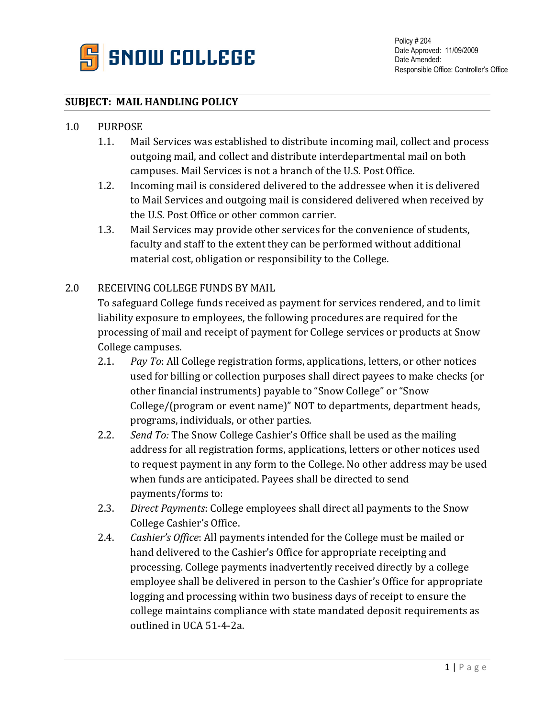

# **SUBJECT: MAIL HANDLING POLICY**

# 1.0 PURPOSE

- 1.1. Mail Services was established to distribute incoming mail, collect and process outgoing mail, and collect and distribute interdepartmental mail on both campuses. Mail Services is not a branch of the U.S. Post Office.
- 1.2. Incoming mail is considered delivered to the addressee when it is delivered to Mail Services and outgoing mail is considered delivered when received by the U.S. Post Office or other common carrier.
- 1.3. Mail Services may provide other services for the convenience of students, faculty and staff to the extent they can be performed without additional material cost, obligation or responsibility to the College.

## 2.0 RECEIVING COLLEGE FUNDS BY MAIL

To safeguard College funds received as payment for services rendered, and to limit liability exposure to employees, the following procedures are required for the processing of mail and receipt of payment for College services or products at Snow College campuses.

- 2.1. *Pay To*: All College registration forms, applications, letters, or other notices used for billing or collection purposes shall direct payees to make checks (or other financial instruments) payable to "Snow College" or "Snow College/(program or event name)" NOT to departments, department heads, programs, individuals, or other parties.
- 2.2. *Send To:* The Snow College Cashier's Office shall be used as the mailing address for all registration forms, applications, letters or other notices used to request payment in any form to the College. No other address may be used when funds are anticipated. Payees shall be directed to send payments/forms to:
- 2.3. *Direct Payments*: College employees shall direct all payments to the Snow College Cashier's Office.
- 2.4. *Cashier's Office*: All payments intended for the College must be mailed or hand delivered to the Cashier's Office for appropriate receipting and processing. College payments inadvertently received directly by a college employee shall be delivered in person to the Cashier's Office for appropriate logging and processing within two business days of receipt to ensure the college maintains compliance with state mandated deposit requirements as outlined in UCA 51-4-2a.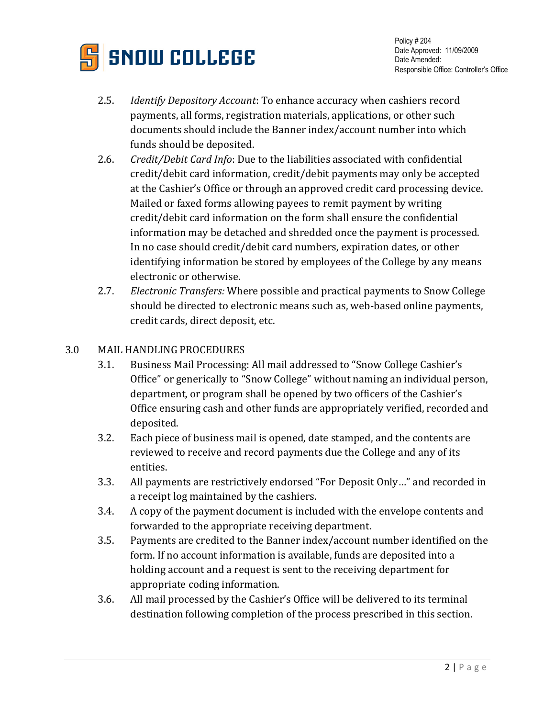

- 2.5. *Identify Depository Account*: To enhance accuracy when cashiers record payments, all forms, registration materials, applications, or other such documents should include the Banner index/account number into which funds should be deposited.
- 2.6. *Credit/Debit Card Info*: Due to the liabilities associated with confidential credit/debit card information, credit/debit payments may only be accepted at the Cashier's Office or through an approved credit card processing device. Mailed or faxed forms allowing payees to remit payment by writing credit/debit card information on the form shall ensure the confidential information may be detached and shredded once the payment is processed. In no case should credit/debit card numbers, expiration dates, or other identifying information be stored by employees of the College by any means electronic or otherwise.
- 2.7. *Electronic Transfers:* Where possible and practical payments to Snow College should be directed to electronic means such as, web-based online payments, credit cards, direct deposit, etc.

# 3.0 MAIL HANDLING PROCEDURES

- 3.1. Business Mail Processing: All mail addressed to "Snow College Cashier's Office" or generically to "Snow College" without naming an individual person, department, or program shall be opened by two officers of the Cashier's Office ensuring cash and other funds are appropriately verified, recorded and deposited.
- 3.2. Each piece of business mail is opened, date stamped, and the contents are reviewed to receive and record payments due the College and any of its entities.
- 3.3. All payments are restrictively endorsed "For Deposit Only…" and recorded in a receipt log maintained by the cashiers.
- 3.4. A copy of the payment document is included with the envelope contents and forwarded to the appropriate receiving department.
- 3.5. Payments are credited to the Banner index/account number identified on the form. If no account information is available, funds are deposited into a holding account and a request is sent to the receiving department for appropriate coding information.
- 3.6. All mail processed by the Cashier's Office will be delivered to its terminal destination following completion of the process prescribed in this section.